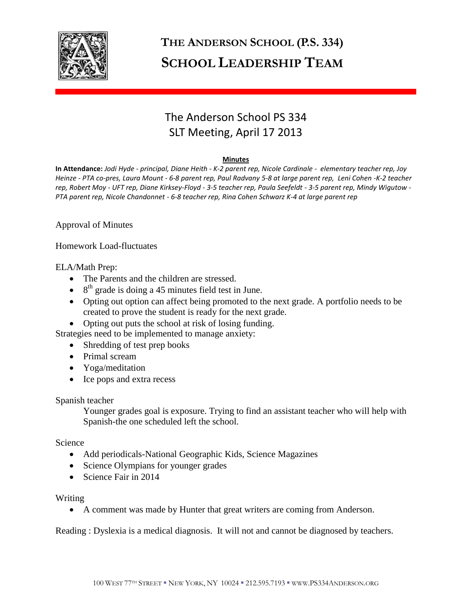

# **THE ANDERSON SCHOOL (P.S. 334) SCHOOL LEADERSHIP TEAM**

# The Anderson School PS 334 SLT Meeting, April 17 2013

#### **Minutes**

**In Attendance:** *Jodi Hyde - principal, Diane Heith - K-2 parent rep, Nicole Cardinale - elementary teacher rep, Joy Heinze - PTA co-pres, Laura Mount - 6-8 parent rep, Paul Radvany 5-8 at large parent rep, Leni Cohen -K-2 teacher rep, Robert Moy - UFT rep, Diane Kirksey-Floyd - 3-5 teacher rep, Paula Seefeldt - 3-5 parent rep, Mindy Wigutow - PTA parent rep, Nicole Chandonnet - 6-8 teacher rep, Rina Cohen Schwarz K-4 at large parent rep* 

Approval of Minutes

Homework Load-fluctuates

ELA/Math Prep:

- The Parents and the children are stressed.
- $\bullet$  8<sup>th</sup> grade is doing a 45 minutes field test in June.
- Opting out option can affect being promoted to the next grade. A portfolio needs to be created to prove the student is ready for the next grade.
- Opting out puts the school at risk of losing funding.

Strategies need to be implemented to manage anxiety:

- Shredding of test prep books
- Primal scream
- Yoga/meditation
- Ice pops and extra recess

Spanish teacher

 Younger grades goal is exposure. Trying to find an assistant teacher who will help with Spanish-the one scheduled left the school.

Science

- Add periodicals-National Geographic Kids, Science Magazines
- Science Olympians for younger grades
- Science Fair in 2014

## Writing

A comment was made by Hunter that great writers are coming from Anderson.

Reading : Dyslexia is a medical diagnosis. It will not and cannot be diagnosed by teachers.